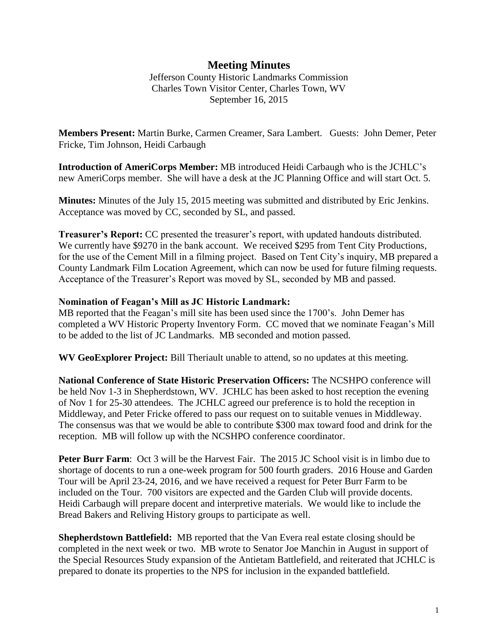## **Meeting Minutes**

Jefferson County Historic Landmarks Commission Charles Town Visitor Center, Charles Town, WV September 16, 2015

**Members Present:** Martin Burke, Carmen Creamer, Sara Lambert. Guests: John Demer, Peter Fricke, Tim Johnson, Heidi Carbaugh

**Introduction of AmeriCorps Member:** MB introduced Heidi Carbaugh who is the JCHLC's new AmeriCorps member. She will have a desk at the JC Planning Office and will start Oct. 5.

**Minutes:** Minutes of the July 15, 2015 meeting was submitted and distributed by Eric Jenkins. Acceptance was moved by CC, seconded by SL, and passed.

**Treasurer's Report:** CC presented the treasurer's report, with updated handouts distributed. We currently have \$9270 in the bank account. We received \$295 from Tent City Productions, for the use of the Cement Mill in a filming project. Based on Tent City's inquiry, MB prepared a County Landmark Film Location Agreement, which can now be used for future filming requests. Acceptance of the Treasurer's Report was moved by SL, seconded by MB and passed.

## **Nomination of Feagan's Mill as JC Historic Landmark:**

MB reported that the Feagan's mill site has been used since the 1700's. John Demer has completed a WV Historic Property Inventory Form. CC moved that we nominate Feagan's Mill to be added to the list of JC Landmarks. MB seconded and motion passed.

**WV GeoExplorer Project:** Bill Theriault unable to attend, so no updates at this meeting.

**National Conference of State Historic Preservation Officers:** The NCSHPO conference will be held Nov 1-3 in Shepherdstown, WV. JCHLC has been asked to host reception the evening of Nov 1 for 25-30 attendees. The JCHLC agreed our preference is to hold the reception in Middleway, and Peter Fricke offered to pass our request on to suitable venues in Middleway. The consensus was that we would be able to contribute \$300 max toward food and drink for the reception. MB will follow up with the NCSHPO conference coordinator.

Peter Burr Farm: Oct 3 will be the Harvest Fair. The 2015 JC School visit is in limbo due to shortage of docents to run a one-week program for 500 fourth graders. 2016 House and Garden Tour will be April 23-24, 2016, and we have received a request for Peter Burr Farm to be included on the Tour. 700 visitors are expected and the Garden Club will provide docents. Heidi Carbaugh will prepare docent and interpretive materials. We would like to include the Bread Bakers and Reliving History groups to participate as well.

**Shepherdstown Battlefield:** MB reported that the Van Evera real estate closing should be completed in the next week or two. MB wrote to Senator Joe Manchin in August in support of the Special Resources Study expansion of the Antietam Battlefield, and reiterated that JCHLC is prepared to donate its properties to the NPS for inclusion in the expanded battlefield.